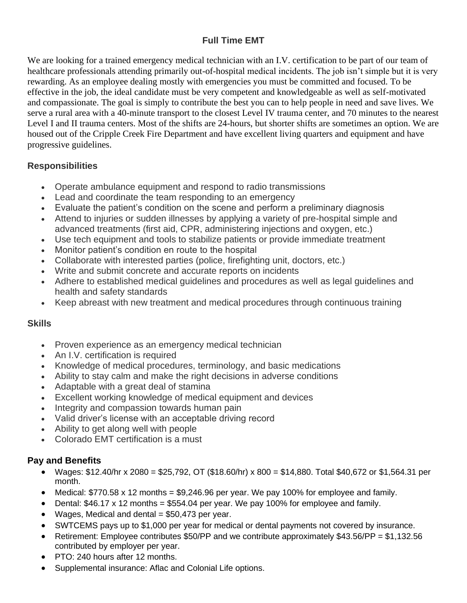# **Full Time EMT**

We are looking for a trained emergency medical technician with an I.V. certification to be part of our team of healthcare professionals attending primarily out-of-hospital medical incidents. The job isn't simple but it is very rewarding. As an employee dealing mostly with emergencies you must be committed and focused. To be effective in the job, the ideal candidate must be very competent and knowledgeable as well as self-motivated and compassionate. The goal is simply to contribute the best you can to help people in need and save lives. We serve a rural area with a 40-minute transport to the closest Level IV trauma center, and 70 minutes to the nearest Level I and II trauma centers. Most of the shifts are 24-hours, but shorter shifts are sometimes an option. We are housed out of the Cripple Creek Fire Department and have excellent living quarters and equipment and have progressive guidelines.

## **Responsibilities**

- Operate ambulance equipment and respond to radio transmissions
- Lead and coordinate the team responding to an emergency
- Evaluate the patient's condition on the scene and perform a preliminary diagnosis
- Attend to injuries or sudden illnesses by applying a variety of pre-hospital simple and advanced treatments (first aid, CPR, administering injections and oxygen, etc.)
- Use tech equipment and tools to stabilize patients or provide immediate treatment
- Monitor patient's condition en route to the hospital
- Collaborate with interested parties (police, firefighting unit, doctors, etc.)
- Write and submit concrete and accurate reports on incidents
- Adhere to established medical guidelines and procedures as well as legal guidelines and health and safety standards
- Keep abreast with new treatment and medical procedures through continuous training

## **Skills**

- Proven experience as an emergency medical technician
- An I.V. certification is required
- Knowledge of medical procedures, terminology, and basic medications
- Ability to stay calm and make the right decisions in adverse conditions
- Adaptable with a great deal of stamina
- Excellent working knowledge of medical equipment and devices
- Integrity and compassion towards human pain
- Valid driver's license with an acceptable driving record
- Ability to get along well with people
- Colorado EMT certification is a must

## **Pay and Benefits**

- Wages: \$12.40/hr x 2080 = \$25,792, OT (\$18.60/hr) x 800 = \$14,880. Total \$40,672 or \$1,564.31 per month.
- Medical: \$770.58 x 12 months = \$9,246.96 per year. We pay 100% for employee and family.
- Dental:  $$46.17 \times 12$  months =  $$554.04$  per year. We pay 100% for employee and family.
- Wages, Medical and dental  $= $50,473$  per year.
- SWTCEMS pays up to \$1,000 per year for medical or dental payments not covered by insurance.
- Retirement: Employee contributes \$50/PP and we contribute approximately \$43.56/PP = \$1,132.56 contributed by employer per year.
- PTO: 240 hours after 12 months.
- Supplemental insurance: Aflac and Colonial Life options.